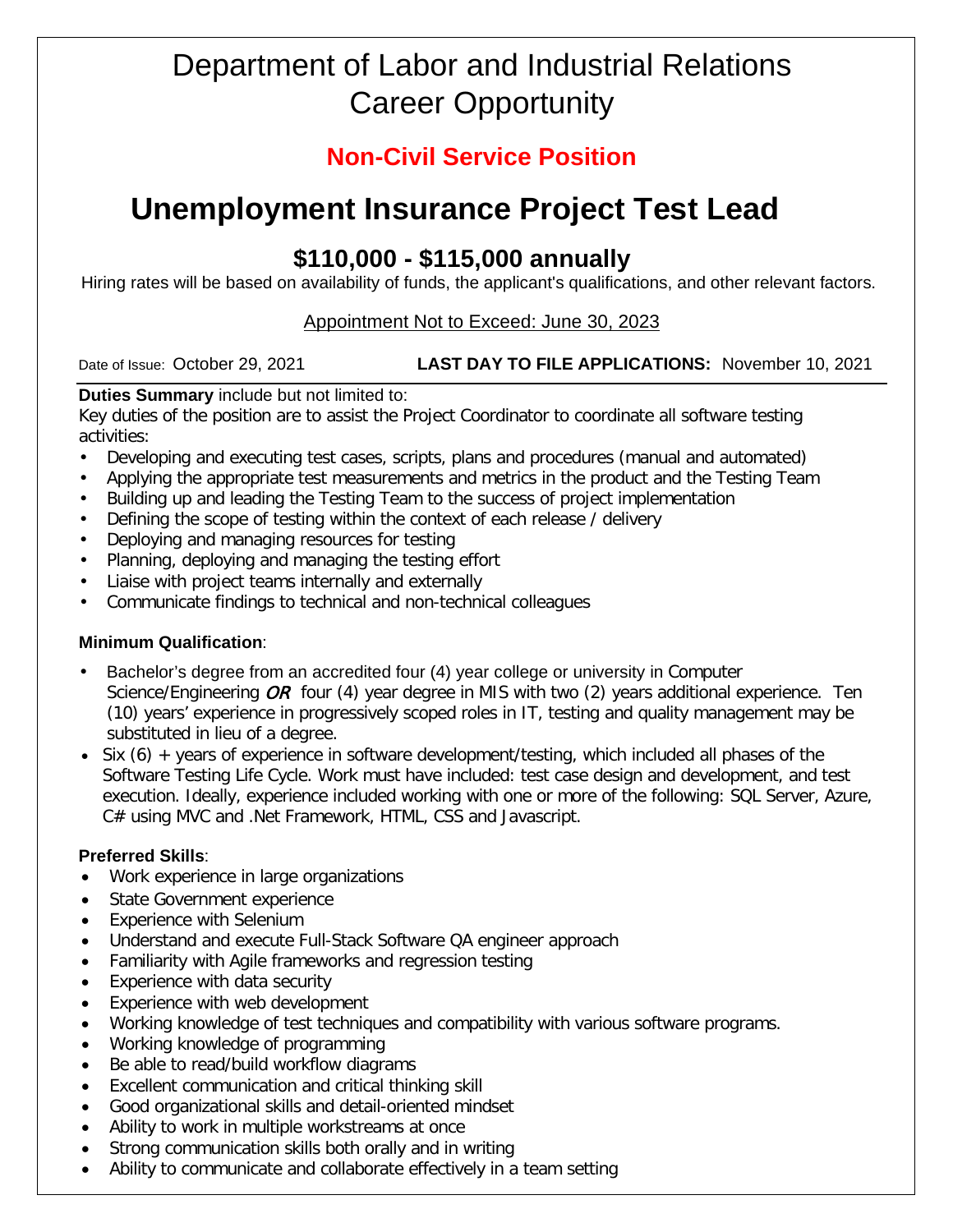# Department of Labor and Industrial Relations Career Opportunity

## **Non-Civil Service Position**

# **Unemployment Insurance Project Test Lead**

# **\$110,000 - \$115,000 annually**

Hiring rates will be based on availability of funds, the applicant's qualifications, and other relevant factors.

### Appointment Not to Exceed: June 30, 2023

#### Date of Issue: October 29, 2021 **LAST DAY TO FILE APPLICATIONS:** November 10, 2021

## **Duties Summary** include but not limited to:

Key duties of the position are to assist the Project Coordinator to coordinate all software testing activities:

- Developing and executing test cases, scripts, plans and procedures (manual and automated)
- Applying the appropriate test measurements and metrics in the product and the Testing Team
- Building up and leading the Testing Team to the success of project implementation
- Defining the scope of testing within the context of each release / delivery
- Deploying and managing resources for testing
- Planning, deploying and managing the testing effort
- Liaise with project teams internally and externally
- Communicate findings to technical and non-technical colleagues

### **Minimum Qualification**:

- Bachelor's degree from an accredited four (4) year college or university in Computer Science/Engineering  $OR$  four (4) year degree in MIS with two (2) years additional experience. Ten (10) years' experience in progressively scoped roles in IT, testing and quality management may be substituted in lieu of a degree.
- Six (6) + years of experience in software development/testing, which included all phases of the Software Testing Life Cycle. Work must have included: test case design and development, and test execution. Ideally, experience included working with one or more of the following: SQL Server, Azure, C# using MVC and .Net Framework, HTML, CSS and Javascript.

### **Preferred Skills**:

- Work experience in large organizations
- State Government experience
- Experience with Selenium
- Understand and execute Full-Stack Software QA engineer approach
- Familiarity with Agile frameworks and regression testing
- Experience with data security
- Experience with web development
- Working knowledge of test techniques and compatibility with various software programs.
- Working knowledge of programming
- Be able to read/build workflow diagrams
- Excellent communication and critical thinking skill
- Good organizational skills and detail-oriented mindset
- Ability to work in multiple workstreams at once
- Strong communication skills both orally and in writing
- Ability to communicate and collaborate effectively in a team setting